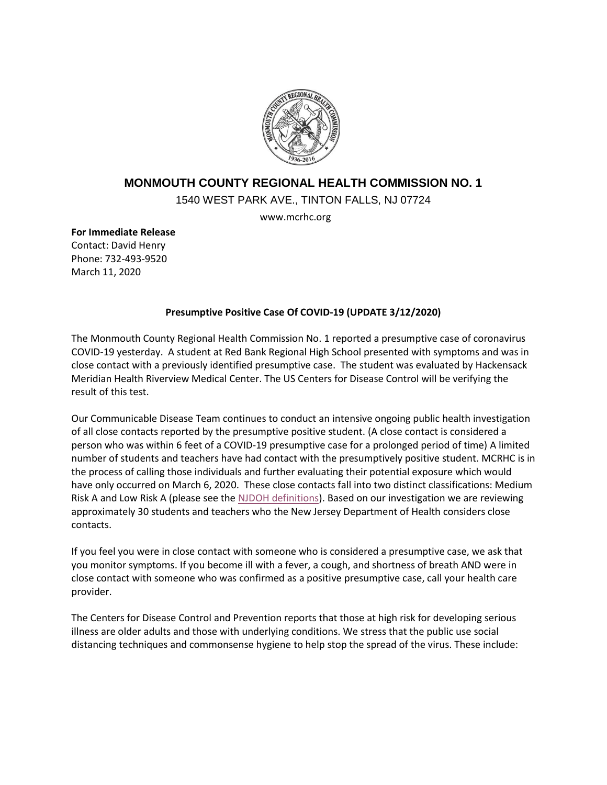

## **MONMOUTH COUNTY REGIONAL HEALTH COMMISSION NO. 1**

1540 WEST PARK AVE., TINTON FALLS, NJ 07724

www.mcrhc.org

**For Immediate Release** Contact: David Henry Phone: 732-493-9520 March 11, 2020

## **Presumptive Positive Case Of COVID-19 (UPDATE 3/12/2020)**

The Monmouth County Regional Health Commission No. 1 reported a presumptive case of coronavirus COVID-19 yesterday. A student at Red Bank Regional High School presented with symptoms and was in close contact with a previously identified presumptive case. The student was evaluated by Hackensack Meridian Health Riverview Medical Center. The US Centers for Disease Control will be verifying the result of this test.

Our Communicable Disease Team continues to conduct an intensive ongoing public health investigation of all close contacts reported by the presumptive positive student. (A close contact is considered a person who was within 6 feet of a COVID-19 presumptive case for a prolonged period of time) A limited number of students and teachers have had contact with the presumptively positive student. MCRHC is in the process of calling those individuals and further evaluating their potential exposure which would have only occurred on March 6, 2020. These close contacts fall into two distinct classifications: Medium Risk A and Low Risk A (please see the [NJDOH definitions\)](https://www.nj.gov/health/cd/documents/topics/NCOV/Exposure_Categories_for_2019_Novel_Coronavirus_mar_10_2020.108113.pdf). Based on our investigation we are reviewing approximately 30 students and teachers who the New Jersey Department of Health considers close contacts.

If you feel you were in close contact with someone who is considered a presumptive case, we ask that you monitor symptoms. If you become ill with a fever, a cough, and shortness of breath AND were in close contact with someone who was confirmed as a positive presumptive case, call your health care provider.

The Centers for Disease Control and Prevention reports that those at high risk for developing serious illness are older adults and those with underlying conditions. We stress that the public use social distancing techniques and commonsense hygiene to help stop the spread of the virus. These include: